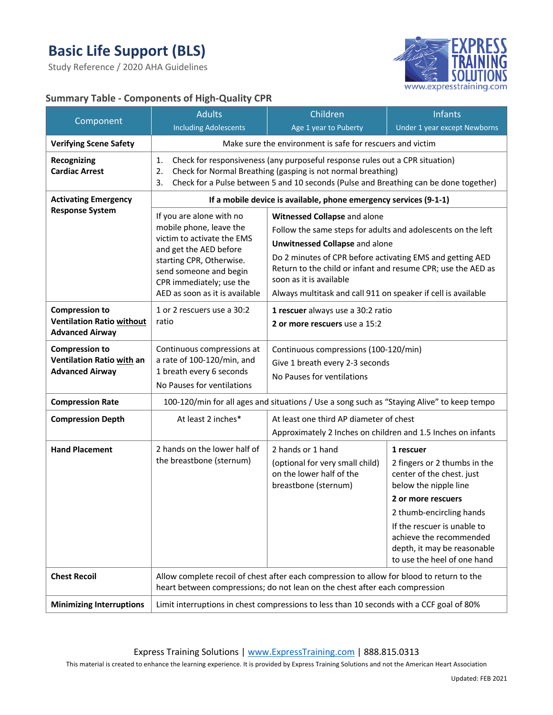Study Reference / 2020 AHA Guidelines



## **Summary Table - Components of High-Quality CPR**

| Component                                                                           | <b>Adults</b>                                                                                                                                                                                                                                           | Children                                                                                                                                                                                                                                                                                                                                                       | <b>Infants</b>                                                                                                                                                                                                                                                            |  |
|-------------------------------------------------------------------------------------|---------------------------------------------------------------------------------------------------------------------------------------------------------------------------------------------------------------------------------------------------------|----------------------------------------------------------------------------------------------------------------------------------------------------------------------------------------------------------------------------------------------------------------------------------------------------------------------------------------------------------------|---------------------------------------------------------------------------------------------------------------------------------------------------------------------------------------------------------------------------------------------------------------------------|--|
|                                                                                     | <b>Including Adolescents</b>                                                                                                                                                                                                                            | Age 1 year to Puberty                                                                                                                                                                                                                                                                                                                                          | <b>Under 1 year except Newborns</b>                                                                                                                                                                                                                                       |  |
| <b>Verifying Scene Safety</b>                                                       | Make sure the environment is safe for rescuers and victim                                                                                                                                                                                               |                                                                                                                                                                                                                                                                                                                                                                |                                                                                                                                                                                                                                                                           |  |
| Recognizing<br><b>Cardiac Arrest</b>                                                | Check for responsiveness (any purposeful response rules out a CPR situation)<br>1.<br>2.<br>Check for Normal Breathing (gasping is not normal breathing)<br>Check for a Pulse between 5 and 10 seconds (Pulse and Breathing can be done together)<br>3. |                                                                                                                                                                                                                                                                                                                                                                |                                                                                                                                                                                                                                                                           |  |
| <b>Activating Emergency</b>                                                         | If a mobile device is available, phone emergency services (9-1-1)                                                                                                                                                                                       |                                                                                                                                                                                                                                                                                                                                                                |                                                                                                                                                                                                                                                                           |  |
| <b>Response System</b>                                                              | If you are alone with no<br>mobile phone, leave the<br>victim to activate the EMS<br>and get the AED before<br>starting CPR, Otherwise.<br>send someone and begin<br>CPR immediately; use the<br>AED as soon as it is available                         | Witnessed Collapse and alone<br>Follow the same steps for adults and adolescents on the left<br><b>Unwitnessed Collapse and alone</b><br>Do 2 minutes of CPR before activating EMS and getting AED<br>Return to the child or infant and resume CPR; use the AED as<br>soon as it is available<br>Always multitask and call 911 on speaker if cell is available |                                                                                                                                                                                                                                                                           |  |
| <b>Compression to</b><br><b>Ventilation Ratio without</b><br><b>Advanced Airway</b> | 1 or 2 rescuers use a 30:2<br>ratio                                                                                                                                                                                                                     | 1 rescuer always use a 30:2 ratio<br>2 or more rescuers use a 15:2                                                                                                                                                                                                                                                                                             |                                                                                                                                                                                                                                                                           |  |
| <b>Compression to</b><br>Ventilation Ratio with an<br><b>Advanced Airway</b>        | Continuous compressions at<br>a rate of 100-120/min, and<br>1 breath every 6 seconds<br>No Pauses for ventilations                                                                                                                                      | Continuous compressions (100-120/min)<br>Give 1 breath every 2-3 seconds<br>No Pauses for ventilations                                                                                                                                                                                                                                                         |                                                                                                                                                                                                                                                                           |  |
| <b>Compression Rate</b>                                                             |                                                                                                                                                                                                                                                         | 100-120/min for all ages and situations / Use a song such as "Staying Alive" to keep tempo                                                                                                                                                                                                                                                                     |                                                                                                                                                                                                                                                                           |  |
| <b>Compression Depth</b>                                                            | At least 2 inches*                                                                                                                                                                                                                                      | At least one third AP diameter of chest<br>Approximately 2 Inches on children and 1.5 Inches on infants                                                                                                                                                                                                                                                        |                                                                                                                                                                                                                                                                           |  |
| <b>Hand Placement</b>                                                               | 2 hands on the lower half of<br>the breastbone (sternum)                                                                                                                                                                                                | 2 hands or 1 hand<br>(optional for very small child)<br>on the lower half of the<br>breastbone (sternum)                                                                                                                                                                                                                                                       | 1 rescuer<br>2 fingers or 2 thumbs in the<br>center of the chest. just<br>below the nipple line<br>2 or more rescuers<br>2 thumb-encircling hands<br>If the rescuer is unable to<br>achieve the recommended<br>depth, it may be reasonable<br>to use the heel of one hand |  |
| <b>Chest Recoil</b>                                                                 | Allow complete recoil of chest after each compression to allow for blood to return to the<br>heart between compressions; do not lean on the chest after each compression                                                                                |                                                                                                                                                                                                                                                                                                                                                                |                                                                                                                                                                                                                                                                           |  |
| <b>Minimizing Interruptions</b>                                                     | Limit interruptions in chest compressions to less than 10 seconds with a CCF goal of 80%                                                                                                                                                                |                                                                                                                                                                                                                                                                                                                                                                |                                                                                                                                                                                                                                                                           |  |

Express Training Solutions | www.ExpressTraining.com | 888.815.0313

This material is created to enhance the learning experience. It is provided by Express Training Solutions and not the American Heart Association